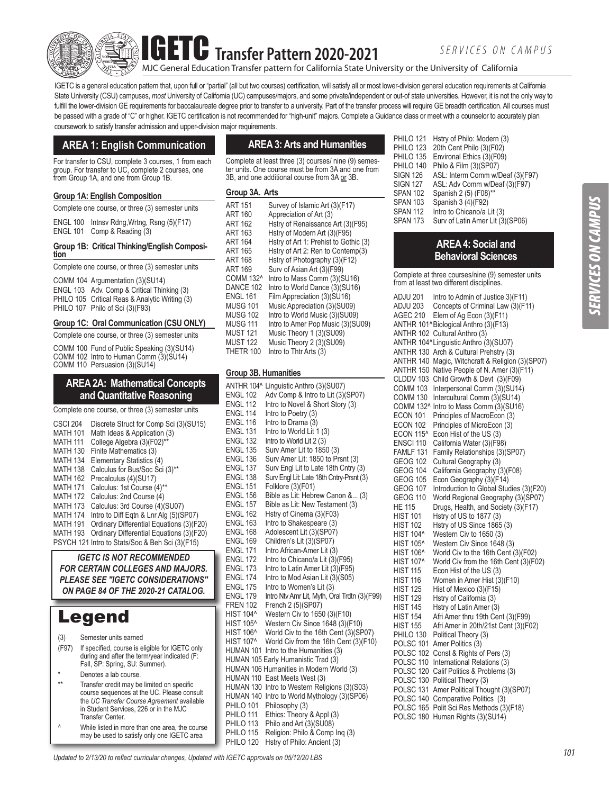**IF** Transfer Pattern 2020-2021

MJC General Education Transfer pattern for California State University or the University of California

IGETC is a general education pattern that, upon full or "partial" (all but two courses) certification, will satisfy all or most lower-division general education requirements at California State University (CSU) campuses, *most* University of California (UC) campuses/majors, and some private/independent or out-of state universities. However, it is not the only way to fulfill the lower-division GE requirements for baccalaureate degree prior to transfer to a university. Part of the transfer process will require GE breadth certification. All courses must be passed with a grade of "C" or higher. IGETC certification is not recommended for "high-unit" majors. Complete a Guidance class or meet with a counselor to accurately plan coursework to satisfy transfer admission and upper-division major requirements.

# **AREA 1: English Communication**

For transfer to CSU, complete 3 courses, 1 from each group. For transfer to UC, complete 2 courses, one from Group 1A, and one from Group 1B.

#### **Group 1A: English Composition**

Complete one course, or three (3) semester units

ENGL 100 Intnsv Rdng,Wrtng, Rsng (5)(F17) ENGL 101 Comp & Reading (3)

# **Group 1B: Critical Thinking/English Composi- tion**

Complete one course, or three (3) semester units

COMM 104 Argumentation (3)(SU14) ENGL 103 Adv. Comp & Critical Thinking (3) PHILO 105 Critical Reas & Analytic Writing (3) PHILO 107 Philo of Sci (3)(F93)

### **Group 1C: Oral Communication (CSU ONLY)**

Complete one course, or three (3) semester units

COMM 100 Fund of Public Speaking (3)(SU14) COMM 102 Intro to Human Comm  $(3)(\text{Si})$ COMM 110 Persuasion (3)(SU14)

## **AREA 2A: Mathematical Concepts and Quantitative Reasoning**

Complete one course, or three (3) semester units

| CSCI 204        | Discrete Struct for Comp Sci (3) (SU15)         |
|-----------------|-------------------------------------------------|
| <b>MATH 101</b> | Math Ideas & Application (3)                    |
| MATH 111        | College Algebra (3)(F02)**                      |
| MATH 130        | Finite Mathematics (3)                          |
| MATH 134        | Elementary Statistics (4)                       |
| MATH 138        | Calculus for Bus/Soc Sci (3)**                  |
| MATH 162        | Precalculus (4)(SU17)                           |
| MATH 171        | Calculus: 1st Course (4)**                      |
| MATH 172        | Calculus: 2nd Course (4)                        |
| MATH 173        | Calculus: 3rd Course (4)(SU07)                  |
| MATH 174        | Intro to Diff Egtn & Lnr Alg (5)(SP07)          |
| MATH 191        | Ordinary Differential Equations (3)(F20)        |
| MATH 193        | Ordinary Differential Equations (3)(F20)        |
|                 | PSYCH 121 Intro to Stats/Soc & Beh Sci (3)(F15) |

*IGETC IS NOT RECOMMENDED FOR CERTAIN COLLEGES AND MAJORS. PLEASE SEE "IGETC CONSIDERATIONS" ON PAGE 84 OF THE 2020-21 CATALOG.*

# Legend

- (3) Semester units earned
- (F97) If specified, course is eligible for IGETC only during and after the term/year indicated (F: Fall, SP: Spring, SU: Summer).
- \* Denotes a lab course.<br>\*\* Fransfer credit may be
- Transfer credit may be limited on specific course sequences at the UC. Please consult the *UC Transfer Course Agreement* available in Student Services, 226 or in the MJC Transfer Center.
- ^ While listed in more than one area, the course may be used to satisfy only one IGETC area

# **AREA 3: Arts and Humanities**

Complete at least three (3) courses/ nine (9) semester units. One course must be from 3A and one from 3B, and one additional course from 3A or 3B.

#### **Group 3A. Arts**

| <b>MUST 122</b><br>Music Theory 2 (3)(SU09)<br>THETR 100<br>Intro to Thtr Arts (3) |
|------------------------------------------------------------------------------------|
|------------------------------------------------------------------------------------|

### **Group 3B. Humanities**

| ANTHR 104^       | Linguistic Anthro (3)(SU07)                  |
|------------------|----------------------------------------------|
| <b>ENGL 102</b>  | Adv Comp & Intro to Lit (3)(SP07)            |
| <b>ENGL 112</b>  | Intro to Novel & Short Story (3)             |
| <b>ENGL 114</b>  | Intro to Poetry (3)                          |
| <b>ENGL 116</b>  | Intro to Drama (3)                           |
| <b>ENGL 131</b>  | Intro to World Lit 1 (3)                     |
| <b>ENGL 132</b>  | Intro to World Lit 2 (3)                     |
| <b>ENGL 135</b>  | Surv Amer Lit to 1850 (3)                    |
| <b>ENGL 136</b>  | Surv Amer Lit: 1850 to Prsnt (3)             |
| <b>ENGL 137</b>  | Surv Engl Lit to Late 18th Cntry (3)         |
| <b>ENGL 138</b>  | Surv Engl Lit: Late 18th Cntry-Prsnt (3)     |
| <b>ENGL 151</b>  | Folklore (3)(F01)                            |
| <b>ENGL 156</b>  | Bible as Lit: Hebrew Canon & (3)             |
| <b>ENGL 157</b>  | Bible as Lit: New Testament (3)              |
| <b>ENGL 162</b>  | Hstry of Cinema (3)(F03)                     |
| <b>ENGL 163</b>  | Intro to Shakespeare (3)                     |
| <b>ENGL 168</b>  | Adolescent Lit (3)(SP07)                     |
| <b>ENGL 169</b>  | Children's Lit (3)(SP07)                     |
| <b>ENGL 171</b>  | Intro African-Amer Lit (3)                   |
| <b>ENGL 172</b>  | Intro to Chicano/a Lit (3)(F95)              |
| <b>ENGL 173</b>  | Intro to Latin Amer Lit (3)(F95)             |
| <b>ENGL 174</b>  | Intro to Mod Asian Lit (3)(S05)              |
| <b>ENGL 175</b>  | Intro to Women's Lit (3)                     |
| <b>ENGL 179</b>  | Intro Ntv Amr Lit, Myth, Oral Trdtn (3)(F99) |
| <b>FREN 102</b>  | French 2 (5)(SP07)                           |
| <b>HIST 104^</b> | Western Civ to 1650 (3)(F10)                 |
| <b>HIST 105^</b> | Western Civ Since 1648 (3)(F10)              |
| <b>HIST 106^</b> | World Civ to the 16th Cent (3)(SP07)         |
| <b>HIST 107^</b> | World Civ from the 16th Cent (3)(F10)        |
| <b>HUMAN 101</b> | Intro to the Humanities (3)                  |
|                  | HUMAN 105 Early Humanistic Trad (3)          |
|                  | HUMAN 106 Humanities in Modern World (3)     |
| HUMAN 110        | East Meets West (3)                          |
| HUMAN 130        | Intro to Western Religions (3)(S03)          |
| HUMAN 140        | Intro to World Mythology (3)(SP06)           |
| PHILO 101        | Philosophy (3)                               |
| PHILO 111        | Ethics: Theory & Appl (3)                    |
| PHILO 113        | Philo and Art (3)(SU08)                      |
| PHILO 115        | Religion: Philo & Comp Ing (3)               |
| PHILO 120        | Hstry of Philo: Ancient (3)                  |

| PHILO 121       | Hstry of Philo: Modern (3)       |
|-----------------|----------------------------------|
| PHILO 123       | 20th Cent Philo (3)(F02)         |
| PHILO 135       | Environal Ethics (3)(F09)        |
| PHILO 140       | Philo & Film (3)(SP07)           |
| <b>SIGN 126</b> | ASL: Interm Comm w/Deaf (3)(F97) |
| <b>SIGN 127</b> | ASL: Adv Comm w/Deaf (3)(F97)    |
| <b>SPAN 102</b> | Spanish 2 (5) (F08)**            |
| <b>SPAN 103</b> | Spanish 3 (4)(F92)               |
| <b>SPAN 112</b> | Intro to Chicano/a Lit (3)       |
| <b>SPAN 173</b> | Surv of Latin Amer Lit (3)(SP06) |
|                 |                                  |

## **AREA 4: Social and Behavioral Sciences**

Complete at three courses/nine (9) semester units from at least two different disciplines.

| ADJU 201             | Intro to Admin of Justice 3)(F11)       |
|----------------------|-----------------------------------------|
| ADJU 203             | Concepts of Criminal Law (3)(F11)       |
| AGEC 210             | Elem of Ag Econ (3)(F11)                |
|                      | ANTHR 101^Biological Anthro (3)(F13)    |
| ANTHR 102            | Cultural Anthro (3)                     |
|                      | ANTHR 104^Linguistic Anthro (3)(SU07)   |
| ANTHR 130            | Arch & Cultural Prehstry (3)            |
| ANTHR 140            | Magic, Witchcraft & Religion (3)(SP07)  |
| ANTHR 150            | Native People of N. Amer (3)(F11)       |
| CLDDV 103            | Child Growth & Devt (3)(F09)            |
| <b>COMM 103</b>      | Interpersonal Comm (3)(SU14)            |
| <b>COMM 130</b>      | Intercultural Comm (3)(SU14)            |
| COMM 132^            | Intro to Mass Comm (3)(SU16)            |
| <b>ECON 101</b>      |                                         |
|                      | Principles of MacroEcon (3)             |
| <b>ECON 102</b>      | Principles of MicroEcon (3)             |
| <b>ECON 115^</b>     | Econ Hist of the US (3)                 |
| ENSCI 110            | California Water (3)(F98)               |
| FAMLF 131            | Family Relationships (3)(SP07)          |
| <b>GEOG 102</b>      | Cultural Geography (3)                  |
| <b>GEOG 104</b>      | California Geography (3)(F08)           |
| <b>GEOG 105</b>      | Econ Geography (3)(F14)                 |
| <b>GEOG 107</b>      | Introduction to Global Studies (3)(F20) |
| <b>GEOG 110</b>      | World Regional Geography (3)(SP07)      |
| HE 115               | Drugs, Health, and Society (3)(F17)     |
| <b>HIST 101</b>      | Hstry of US to 1877 (3)                 |
| <b>HIST 102</b>      | Hstry of US Since 1865 (3)              |
| HIST 104^            | Western Civ to 1650 (3)                 |
| <b>HIST 105^</b>     | Western Civ Since 1648 (3)              |
| HIST 106^            | World Civ to the 16th Cent (3)(F02)     |
| <b>HIST 107^</b>     | World Civ from the 16th Cent (3)(F02)   |
| <b>HIST 115</b>      | Econ Hist of the US (3)                 |
| <b>HIST 116</b>      | Women in Amer Hist (3)(F10)             |
| <b>HIST 125</b>      | Hist of Mexico (3)(F15)                 |
| <b>HIST 129</b>      | Hstry of California (3)                 |
| <b>HIST 145</b>      | Hstry of Latin Amer (3)                 |
| <b>HIST 154</b>      | Afri Amer thru 19th Cent (3)(F99)       |
| <b>HIST 155</b>      | Afri Amer in 20th/21st Cent (3)(F02)    |
| PHILO 130            | Political Theory (3)                    |
| POLSC <sub>101</sub> | Amer Politics (3)                       |
| POLSC 102            | Const & Rights of Pers (3)              |
| POLSC 110            | International Relations (3)             |
| POLSC 120            | Calif Politics & Problems (3)           |
| POLSC 130            | Political Theory (3)                    |
| POLSC 131            | Amer Political Thought (3)(SP07)        |
| POLSC 140            | Comparative Politics (3)                |
| POLSC 165            | Polit Sci Res Methods (3)(F18)          |
| POLSC 180            | Human Rights (3)(SU14)                  |
|                      |                                         |